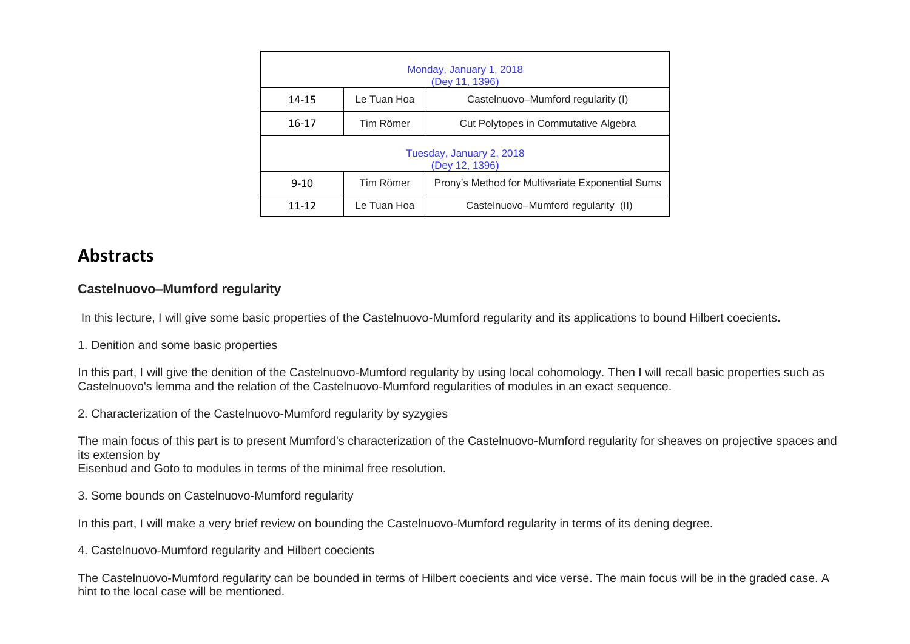| Monday, January 1, 2018<br>(Dey 11, 1396)  |             |                                                  |
|--------------------------------------------|-------------|--------------------------------------------------|
| 14-15                                      | Le Tuan Hoa | Castelnuovo-Mumford regularity (I)               |
| $16-17$                                    | Tim Römer   | Cut Polytopes in Commutative Algebra             |
| Tuesday, January 2, 2018<br>(Dey 12, 1396) |             |                                                  |
| $9 - 10$                                   | Tim Römer   | Prony's Method for Multivariate Exponential Sums |
| $11 - 12$                                  | Le Tuan Hoa | Castelnuovo-Mumford regularity (II)              |

## **Abstracts**

## **Castelnuovo–Mumford regularity**

In this lecture, I will give some basic properties of the Castelnuovo-Mumford regularity and its applications to bound Hilbert coecients.

1. Denition and some basic properties

In this part, I will give the denition of the Castelnuovo-Mumford regularity by using local cohomology. Then I will recall basic properties such as Castelnuovo's lemma and the relation of the Castelnuovo-Mumford regularities of modules in an exact sequence.

2. Characterization of the Castelnuovo-Mumford regularity by syzygies

The main focus of this part is to present Mumford's characterization of the Castelnuovo-Mumford regularity for sheaves on projective spaces and its extension by

Eisenbud and Goto to modules in terms of the minimal free resolution.

3. Some bounds on Castelnuovo-Mumford regularity

In this part, I will make a very brief review on bounding the Castelnuovo-Mumford regularity in terms of its dening degree.

4. Castelnuovo-Mumford regularity and Hilbert coecients

The Castelnuovo-Mumford regularity can be bounded in terms of Hilbert coecients and vice verse. The main focus will be in the graded case. A hint to the local case will be mentioned.